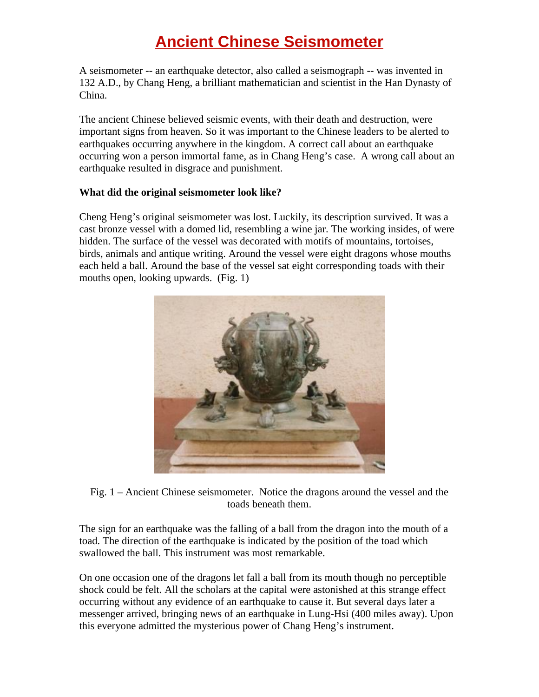## **Ancient Chinese Seismometer**

A seismometer -- an earthquake detector, also called a seismograph -- was invented in 132 A.D., by Chang Heng, a brilliant mathematician and scientist in the Han Dynasty of China.

The ancient Chinese believed seismic events, with their death and destruction, were important signs from heaven. So it was important to the Chinese leaders to be alerted to earthquakes occurring anywhere in the kingdom. A correct call about an earthquake occurring won a person immortal fame, as in Chang Heng's case. A wrong call about an earthquake resulted in disgrace and punishment.

## **What did the original seismometer look like?**

Cheng Heng's original seismometer was lost. Luckily, its description survived. It was a cast bronze vessel with a domed lid, resembling a wine jar. The working insides, of were hidden. The surface of the vessel was decorated with motifs of mountains, tortoises, birds, animals and antique writing. Around the vessel were eight dragons whose mouths each held a ball. Around the base of the vessel sat eight corresponding toads with their mouths open, looking upwards. (Fig. 1)



Fig. 1 – Ancient Chinese seismometer. Notice the dragons around the vessel and the toads beneath them.

The sign for an earthquake was the falling of a ball from the dragon into the mouth of a toad. The direction of the earthquake is indicated by the position of the toad which swallowed the ball. This instrument was most remarkable.

On one occasion one of the dragons let fall a ball from its mouth though no perceptible shock could be felt. All the scholars at the capital were astonished at this strange effect occurring without any evidence of an earthquake to cause it. But several days later a messenger arrived, bringing news of an earthquake in Lung-Hsi (400 miles away). Upon this everyone admitted the mysterious power of Chang Heng's instrument.